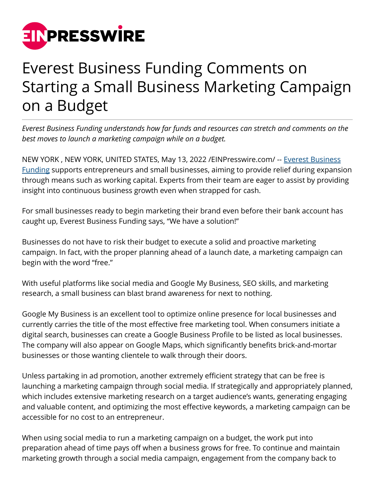

## Everest Business Funding Comments on Starting a Small Business Marketing Campaign on a Budget

*Everest Business Funding understands how far funds and resources can stretch and comments on the best moves to launch a marketing campaign while on a budget.*

NEW YORK, NEW YORK, UNITED STATES, May 13, 2022 / [EINPresswire.com/](http://www.einpresswire.com) -- [Everest Business](https://www.working-capital.com/reviews/everest) [Funding](https://www.working-capital.com/reviews/everest) supports entrepreneurs and small businesses, aiming to provide relief during expansion through means such as working capital. Experts from their team are eager to assist by providing insight into continuous business growth even when strapped for cash.

For small businesses ready to begin marketing their brand even before their bank account has caught up, Everest Business Funding says, "We have a solution!"

Businesses do not have to risk their budget to execute a solid and proactive marketing campaign. In fact, with the proper planning ahead of a launch date, a marketing campaign can begin with the word "free."

With useful platforms like social media and Google My Business, SEO skills, and marketing research, a small business can blast brand awareness for next to nothing.

Google My Business is an excellent tool to optimize online presence for local businesses and currently carries the title of the most effective free marketing tool. When consumers initiate a digital search, businesses can create a Google Business Profile to be listed as local businesses. The company will also appear on Google Maps, which significantly benefits brick-and-mortar businesses or those wanting clientele to walk through their doors.

Unless partaking in ad promotion, another extremely efficient strategy that can be free is launching a marketing campaign through social media. If strategically and appropriately planned, which includes extensive marketing research on a target audience's wants, generating engaging and valuable content, and optimizing the most effective keywords, a marketing campaign can be accessible for no cost to an entrepreneur.

When using social media to run a marketing campaign on a budget, the work put into preparation ahead of time pays off when a business grows for free. To continue and maintain marketing growth through a social media campaign, engagement from the company back to